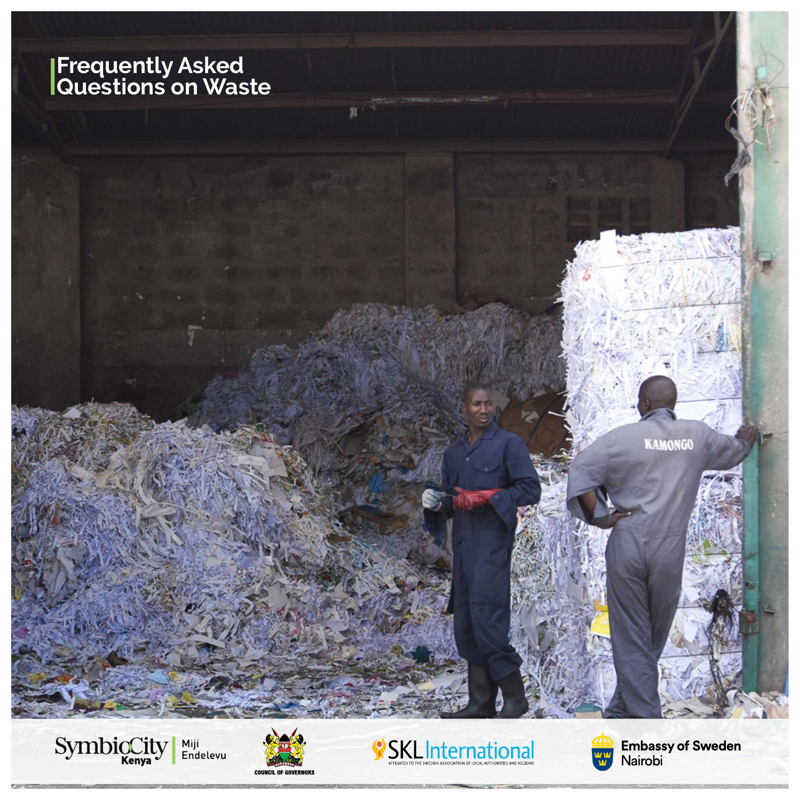# **Frequently Asked Questions on Waste**



 $\mathbb{R}$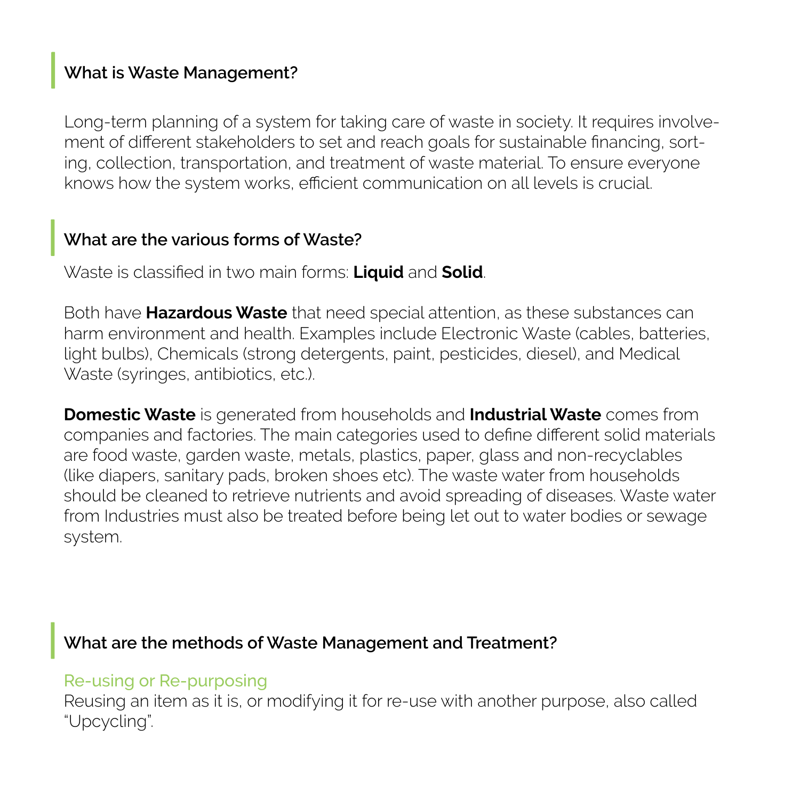# **What is Waste Management?**

Long-term planning of a system for taking care of waste in society. It requires involvement of different stakeholders to set and reach goals for sustainable financing, sorting, collection, transportation, and treatment of waste material. To ensure everyone knows how the system works, efficient communication on all levels is crucial.

# **What are the various forms of Waste?**

Waste is classified in two main forms: **Liquid** and **Solid**.

Both have **Hazardous Waste** that need special attention, as these substances can harm environment and health. Examples include Electronic Waste (cables, batteries, light bulbs), Chemicals (strong detergents, paint, pesticides, diesel), and Medical Waste (syringes, antibiotics, etc.).

**Domestic Waste** is generated from households and **Industrial Waste** comes from companies and factories. The main categories used to define different solid materials are food waste, garden waste, metals, plastics, paper, glass and non-recyclables (like diapers, sanitary pads, broken shoes etc). The waste water from households should be cleaned to retrieve nutrients and avoid spreading of diseases. Waste water from Industries must also be treated before being let out to water bodies or sewage system.

# **What are the methods of Waste Management and Treatment?**

#### Re-using or Re-purposing

Reusing an item as it is, or modifying it for re-use with another purpose, also called "Upcycling".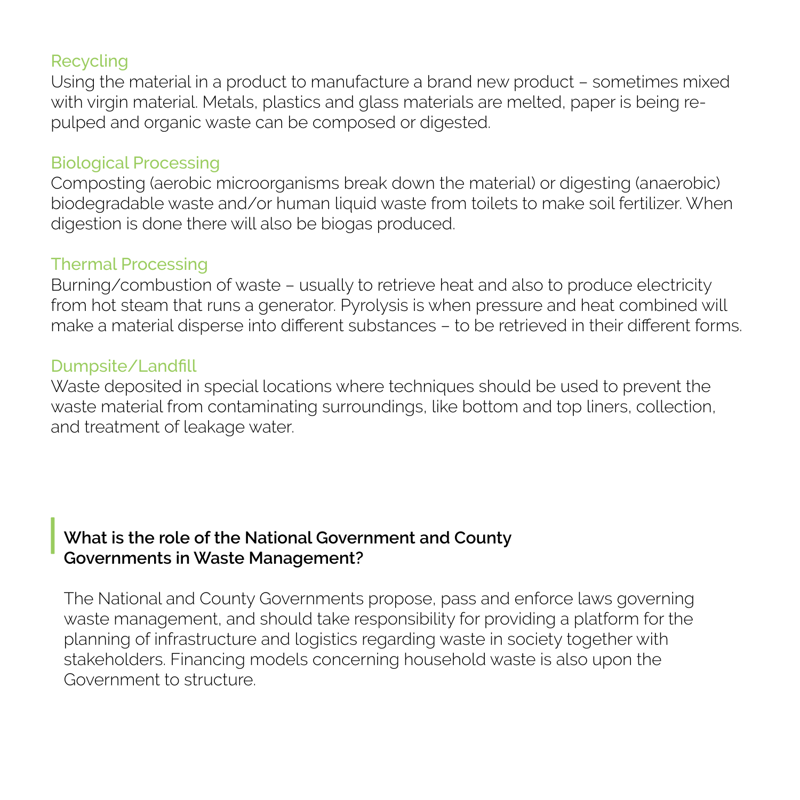#### Recycling

Using the material in a product to manufacture a brand new product – sometimes mixed with virgin material. Metals, plastics and glass materials are melted, paper is being repulped and organic waste can be composed or digested.

### Biological Processing

Composting (aerobic microorganisms break down the material) or digesting (anaerobic) biodegradable waste and/or human liquid waste from toilets to make soil fertilizer. When digestion is done there will also be biogas produced.

### Thermal Processing

Burning/combustion of waste – usually to retrieve heat and also to produce electricity from hot steam that runs a generator. Pyrolysis is when pressure and heat combined will make a material disperse into different substances – to be retrieved in their different forms.

#### Dumpsite/Landfill

Waste deposited in special locations where techniques should be used to prevent the waste material from contaminating surroundings, like bottom and top liners, collection, and treatment of leakage water.

# **What is the role of the National Government and County Governments in Waste Management?**

The National and County Governments propose, pass and enforce laws governing waste management, and should take responsibility for providing a platform for the planning of infrastructure and logistics regarding waste in society together with stakeholders. Financing models concerning household waste is also upon the Government to structure.